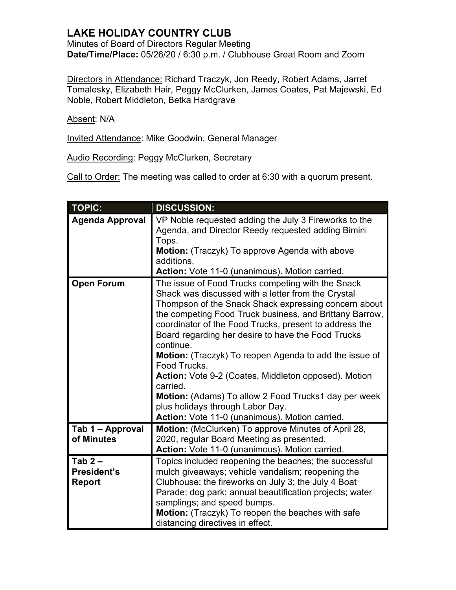## **LAKE HOLIDAY COUNTRY CLUB**

Minutes of Board of Directors Regular Meeting **Date/Time/Place:** 05/26/20 / 6:30 p.m. / Clubhouse Great Room and Zoom

Directors in Attendance: Richard Traczyk, Jon Reedy, Robert Adams, Jarret Tomalesky, Elizabeth Hair, Peggy McClurken, James Coates, Pat Majewski, Ed Noble, Robert Middleton, Betka Hardgrave

Absent: N/A

Invited Attendance: Mike Goodwin, General Manager

Audio Recording: Peggy McClurken, Secretary

Call to Order: The meeting was called to order at 6:30 with a quorum present.

| <b>TOPIC:</b>                                   | <b>DISCUSSION:</b>                                                                                                                                                                                                                                                                                                                                                                                                                                                                                                                                                                                                                                         |
|-------------------------------------------------|------------------------------------------------------------------------------------------------------------------------------------------------------------------------------------------------------------------------------------------------------------------------------------------------------------------------------------------------------------------------------------------------------------------------------------------------------------------------------------------------------------------------------------------------------------------------------------------------------------------------------------------------------------|
| <b>Agenda Approval</b>                          | VP Noble requested adding the July 3 Fireworks to the<br>Agenda, and Director Reedy requested adding Bimini<br>Tops.<br>Motion: (Traczyk) To approve Agenda with above<br>additions.<br>Action: Vote 11-0 (unanimous). Motion carried.                                                                                                                                                                                                                                                                                                                                                                                                                     |
| <b>Open Forum</b>                               | The issue of Food Trucks competing with the Snack<br>Shack was discussed with a letter from the Crystal<br>Thompson of the Snack Shack expressing concern about<br>the competing Food Truck business, and Brittany Barrow,<br>coordinator of the Food Trucks, present to address the<br>Board regarding her desire to have the Food Trucks<br>continue.<br><b>Motion:</b> (Traczyk) To reopen Agenda to add the issue of<br>Food Trucks.<br>Action: Vote 9-2 (Coates, Middleton opposed). Motion<br>carried.<br>Motion: (Adams) To allow 2 Food Trucks1 day per week<br>plus holidays through Labor Day.<br>Action: Vote 11-0 (unanimous). Motion carried. |
| Tab 1 - Approval<br>of Minutes                  | Motion: (McClurken) To approve Minutes of April 28,<br>2020, regular Board Meeting as presented.<br>Action: Vote 11-0 (unanimous). Motion carried.                                                                                                                                                                                                                                                                                                                                                                                                                                                                                                         |
| Tab $2-$<br><b>President's</b><br><b>Report</b> | Topics included reopening the beaches; the successful<br>mulch giveaways; vehicle vandalism; reopening the<br>Clubhouse; the fireworks on July 3; the July 4 Boat<br>Parade; dog park; annual beautification projects; water<br>samplings; and speed bumps.<br>Motion: (Traczyk) To reopen the beaches with safe<br>distancing directives in effect.                                                                                                                                                                                                                                                                                                       |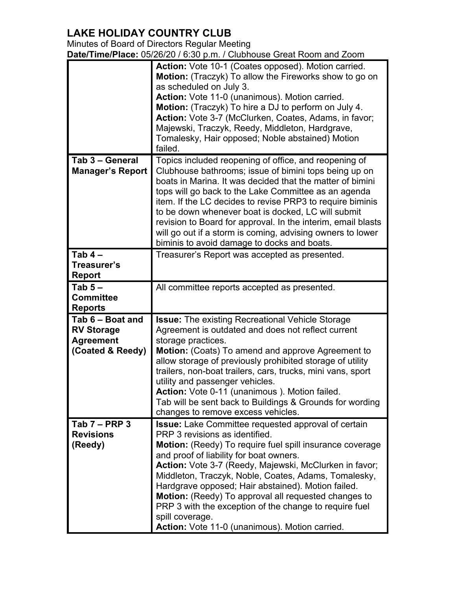## **LAKE HOLIDAY COUNTRY CLUB**

Minutes of Board of Directors Regular Meeting

**Date/Time/Place:** 05/26/20 / 6:30 p.m. / Clubhouse Great Room and Zoom

|                                                                               | Action: Vote 10-1 (Coates opposed). Motion carried.<br>Motion: (Traczyk) To allow the Fireworks show to go on<br>as scheduled on July 3.<br>Action: Vote 11-0 (unanimous). Motion carried.<br>Motion: (Traczyk) To hire a DJ to perform on July 4.<br>Action: Vote 3-7 (McClurken, Coates, Adams, in favor;<br>Majewski, Traczyk, Reedy, Middleton, Hardgrave,<br>Tomalesky, Hair opposed; Noble abstained) Motion<br>failed.                                                                                                                                             |
|-------------------------------------------------------------------------------|---------------------------------------------------------------------------------------------------------------------------------------------------------------------------------------------------------------------------------------------------------------------------------------------------------------------------------------------------------------------------------------------------------------------------------------------------------------------------------------------------------------------------------------------------------------------------|
| Tab 3 - General<br><b>Manager's Report</b>                                    | Topics included reopening of office, and reopening of<br>Clubhouse bathrooms; issue of bimini tops being up on<br>boats in Marina. It was decided that the matter of bimini<br>tops will go back to the Lake Committee as an agenda<br>item. If the LC decides to revise PRP3 to require biminis<br>to be down whenever boat is docked, LC will submit<br>revision to Board for approval. In the interim, email blasts<br>will go out if a storm is coming, advising owners to lower<br>biminis to avoid damage to docks and boats.                                       |
| Tab $4-$<br>Treasurer's<br><b>Report</b>                                      | Treasurer's Report was accepted as presented.                                                                                                                                                                                                                                                                                                                                                                                                                                                                                                                             |
| Tab $5-$<br><b>Committee</b><br><b>Reports</b>                                | All committee reports accepted as presented.                                                                                                                                                                                                                                                                                                                                                                                                                                                                                                                              |
| Tab 6 - Boat and<br><b>RV Storage</b><br><b>Agreement</b><br>(Coated & Reedy) | <b>Issue:</b> The existing Recreational Vehicle Storage<br>Agreement is outdated and does not reflect current<br>storage practices.<br>Motion: (Coats) To amend and approve Agreement to<br>allow storage of previously prohibited storage of utility<br>trailers, non-boat trailers, cars, trucks, mini vans, sport<br>utility and passenger vehicles.<br><b>Action:</b> Vote 0-11 (unanimous). Motion failed<br>Tab will be sent back to Buildings & Grounds for wording<br>changes to remove excess vehicles.                                                          |
| Tab $7 - PRP$ 3<br><b>Revisions</b><br>(Reedy)                                | Issue: Lake Committee requested approval of certain<br>PRP 3 revisions as identified.<br><b>Motion:</b> (Reedy) To require fuel spill insurance coverage<br>and proof of liability for boat owners.<br>Action: Vote 3-7 (Reedy, Majewski, McClurken in favor;<br>Middleton, Traczyk, Noble, Coates, Adams, Tomalesky,<br>Hardgrave opposed; Hair abstained). Motion failed.<br><b>Motion:</b> (Reedy) To approval all requested changes to<br>PRP 3 with the exception of the change to require fuel<br>spill coverage.<br>Action: Vote 11-0 (unanimous). Motion carried. |